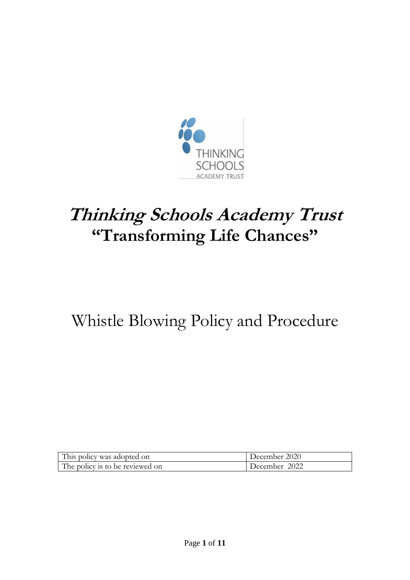

# **Thinking Schools Academy Trust "Transforming Life Chances"**

# Whistle Blowing Policy and Procedure

| This policy was adopted on      | December 2020 |
|---------------------------------|---------------|
| The policy is to be reviewed on | December 2022 |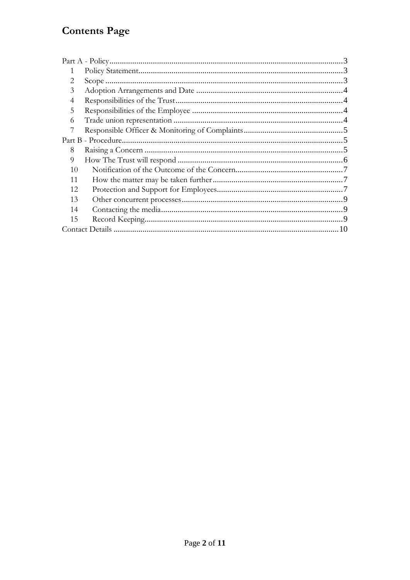# **Contents Page**

| $\mathcal{D}_{\cdot}$ |  |
|-----------------------|--|
| 3                     |  |
| 4                     |  |
| 5                     |  |
| 6                     |  |
|                       |  |
|                       |  |
|                       |  |
| 8                     |  |
| 9                     |  |
| 10                    |  |
| 11                    |  |
| 12                    |  |
| 13                    |  |
| 14                    |  |
| 15                    |  |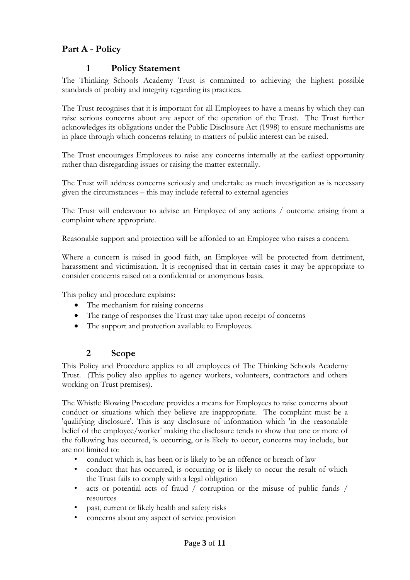# <span id="page-2-1"></span><span id="page-2-0"></span>**Part A - Policy**

## **1 Policy Statement**

The Thinking Schools Academy Trust is committed to achieving the highest possible standards of probity and integrity regarding its practices.

The Trust recognises that it is important for all Employees to have a means by which they can raise serious concerns about any aspect of the operation of the Trust. The Trust further acknowledges its obligations under the Public Disclosure Act (1998) to ensure mechanisms are in place through which concerns relating to matters of public interest can be raised.

The Trust encourages Employees to raise any concerns internally at the earliest opportunity rather than disregarding issues or raising the matter externally.

The Trust will address concerns seriously and undertake as much investigation as is necessary given the circumstances – this may include referral to external agencies

The Trust will endeavour to advise an Employee of any actions / outcome arising from a complaint where appropriate.

Reasonable support and protection will be afforded to an Employee who raises a concern.

Where a concern is raised in good faith, an Employee will be protected from detriment, harassment and victimisation. It is recognised that in certain cases it may be appropriate to consider concerns raised on a confidential or anonymous basis.

This policy and procedure explains:

- The mechanism for raising concerns
- The range of responses the Trust may take upon receipt of concerns
- The support and protection available to Employees.

#### **2 Scope**

<span id="page-2-2"></span>This Policy and Procedure applies to all employees of The Thinking Schools Academy Trust. (This policy also applies to agency workers, volunteers, contractors and others working on Trust premises).

The Whistle Blowing Procedure provides a means for Employees to raise concerns about conduct or situations which they believe are inappropriate. The complaint must be a 'qualifying disclosure'. This is any disclosure of information which 'in the reasonable belief of the employee/worker' making the disclosure tends to show that one or more of the following has occurred, is occurring, or is likely to occur, concerns may include, but are not limited to:

- conduct which is, has been or is likely to be an offence or breach of law
- conduct that has occurred, is occurring or is likely to occur the result of which the Trust fails to comply with a legal obligation
- acts or potential acts of fraud / corruption or the misuse of public funds / resources
- past, current or likely health and safety risks
- concerns about any aspect of service provision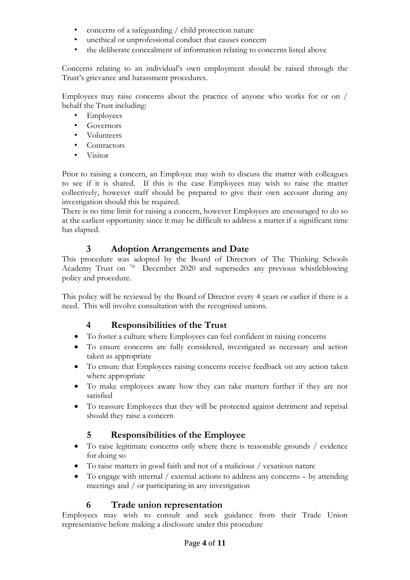- concerns of a safeguarding / child protection nature
- unethical or unprofessional conduct that causes concern
- the deliberate concealment of information relating to concerns listed above

Concerns relating to an individual's own employment should be raised through the Trust's grievance and harassment procedures.

Employees may raise concerns about the practice of anyone who works for or on / behalf the Trust including:

- Employees
- Governors
- Volunteers
- Contractors
- Visitor

Prior to raising a concern, an Employee may wish to discuss the matter with colleagues to see if it is shared. If this is the case Employees may wish to raise the matter collectively, however staff should be prepared to give their own account during any investigation should this be required.

There is no time limit for raising a concern, however Employees are encouraged to do so at the earliest opportunity since it may be difficult to address a matter if a significant time has elapsed.

#### **3 Adoption Arrangements and Date**

<span id="page-3-0"></span>This procedure was adopted by the Board of Directors of The Thinking Schools Academy Trust on <sup>7th</sup> December 2020 and supersedes any previous whistleblowing policy and procedure.

This policy will be reviewed by the Board of Director every 4 years or earlier if there is a need. This will involve consultation with the recognised unions.

#### **4 Responsibilities of the Trust**

- <span id="page-3-1"></span>To foster a culture where Employees can feel confident in raising concerns
- To ensure concerns are fully considered, investigated as necessary and action taken as appropriate
- To ensure that Employees raising concerns receive feedback on any action taken where appropriate
- To make employees aware how they can take matters further if they are not satisfied
- To reassure Employees that they will be protected against detriment and reprisal should they raise a concern

#### **5 Responsibilities of the Employee**

- <span id="page-3-2"></span> To raise legitimate concerns only where there is reasonable grounds / evidence for doing so
- To raise matters in good faith and not of a malicious / vexatious nature
- To engage with internal / external actions to address any concerns by attending meetings and / or participating in any investigation

#### **6 Trade union representation**

<span id="page-3-3"></span>Employees may wish to consult and seek guidance from their Trade Union representative before making a disclosure under this procedure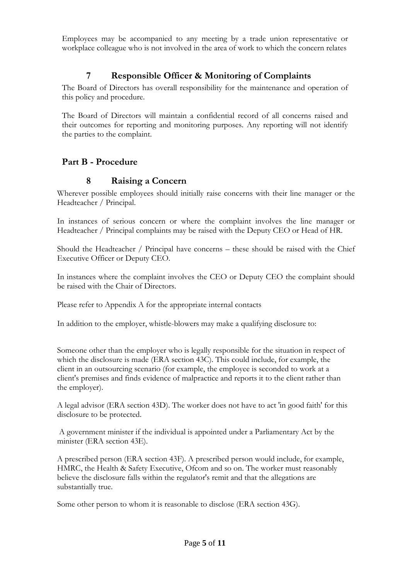Employees may be accompanied to any meeting by a trade union representative or workplace colleague who is not involved in the area of work to which the concern relates

## **7 Responsible Officer & Monitoring of Complaints**

<span id="page-4-0"></span>The Board of Directors has overall responsibility for the maintenance and operation of this policy and procedure.

The Board of Directors will maintain a confidential record of all concerns raised and their outcomes for reporting and monitoring purposes. Any reporting will not identify the parties to the complaint.

#### <span id="page-4-2"></span><span id="page-4-1"></span>**Part B - Procedure**

#### **8 Raising a Concern**

Wherever possible employees should initially raise concerns with their line manager or the Headteacher / Principal.

In instances of serious concern or where the complaint involves the line manager or Headteacher / Principal complaints may be raised with the Deputy CEO or Head of HR.

Should the Headteacher / Principal have concerns – these should be raised with the Chief Executive Officer or Deputy CEO.

In instances where the complaint involves the CEO or Deputy CEO the complaint should be raised with the Chair of Directors.

Please refer to Appendix A for the appropriate internal contacts

In addition to the employer, whistle-blowers may make a qualifying disclosure to:

Someone other than the employer who is legally responsible for the situation in respect of which the disclosure is made (ERA section 43C). This could include, for example, the client in an outsourcing scenario (for example, the employee is seconded to work at a client's premises and finds evidence of malpractice and reports it to the client rather than the employer).

A legal advisor (ERA section 43D). The worker does not have to act 'in good faith' for this disclosure to be protected.

A government minister if the individual is appointed under a Parliamentary Act by the minister (ERA section 43E).

A prescribed person (ERA section 43F). A prescribed person would include, for example, HMRC, the Health & Safety Executive, Ofcom and so on. The worker must reasonably believe the disclosure falls within the regulator's remit and that the allegations are substantially true.

Some other person to whom it is reasonable to disclose (ERA section 43G).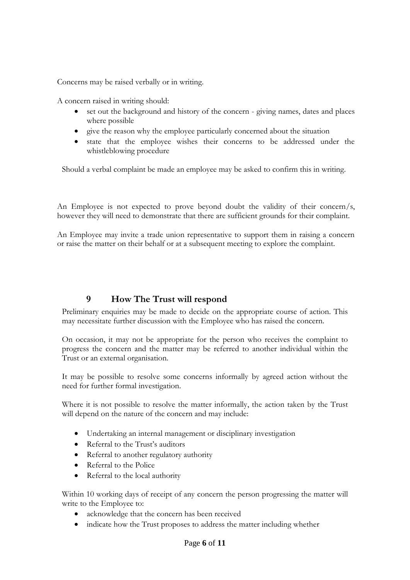Concerns may be raised verbally or in writing.

A concern raised in writing should:

- set out the background and history of the concern giving names, dates and places where possible
- give the reason why the employee particularly concerned about the situation
- state that the employee wishes their concerns to be addressed under the whistleblowing procedure

Should a verbal complaint be made an employee may be asked to confirm this in writing.

An Employee is not expected to prove beyond doubt the validity of their concern/s, however they will need to demonstrate that there are sufficient grounds for their complaint.

An Employee may invite a trade union representative to support them in raising a concern or raise the matter on their behalf or at a subsequent meeting to explore the complaint.

# **9 How The Trust will respond**

<span id="page-5-0"></span>Preliminary enquiries may be made to decide on the appropriate course of action. This may necessitate further discussion with the Employee who has raised the concern.

On occasion, it may not be appropriate for the person who receives the complaint to progress the concern and the matter may be referred to another individual within the Trust or an external organisation.

It may be possible to resolve some concerns informally by agreed action without the need for further formal investigation.

Where it is not possible to resolve the matter informally, the action taken by the Trust will depend on the nature of the concern and may include:

- Undertaking an internal management or disciplinary investigation
- Referral to the Trust's auditors
- Referral to another regulatory authority
- Referral to the Police
- Referral to the local authority

Within 10 working days of receipt of any concern the person progressing the matter will write to the Employee to:

- acknowledge that the concern has been received
- indicate how the Trust proposes to address the matter including whether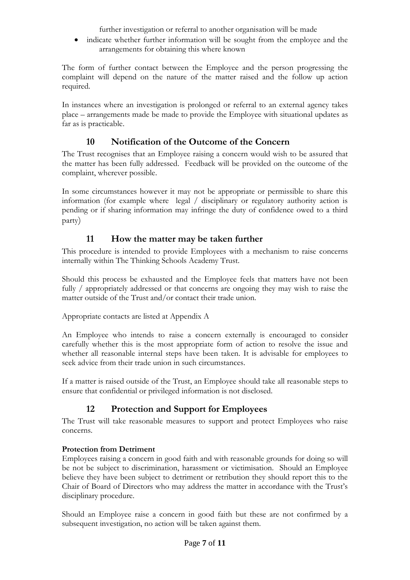further investigation or referral to another organisation will be made

 indicate whether further information will be sought from the employee and the arrangements for obtaining this where known

The form of further contact between the Employee and the person progressing the complaint will depend on the nature of the matter raised and the follow up action required.

In instances where an investigation is prolonged or referral to an external agency takes place – arrangements made be made to provide the Employee with situational updates as far as is practicable.

# **10 Notification of the Outcome of the Concern**

<span id="page-6-0"></span>The Trust recognises that an Employee raising a concern would wish to be assured that the matter has been fully addressed. Feedback will be provided on the outcome of the complaint, wherever possible.

In some circumstances however it may not be appropriate or permissible to share this information (for example where legal / disciplinary or regulatory authority action is pending or if sharing information may infringe the duty of confidence owed to a third party)

#### **11 How the matter may be taken further**

<span id="page-6-1"></span>This procedure is intended to provide Employees with a mechanism to raise concerns internally within The Thinking Schools Academy Trust.

Should this process be exhausted and the Employee feels that matters have not been fully / appropriately addressed or that concerns are ongoing they may wish to raise the matter outside of the Trust and/or contact their trade union.

Appropriate contacts are listed at Appendix A

An Employee who intends to raise a concern externally is encouraged to consider carefully whether this is the most appropriate form of action to resolve the issue and whether all reasonable internal steps have been taken. It is advisable for employees to seek advice from their trade union in such circumstances.

<span id="page-6-2"></span>If a matter is raised outside of the Trust, an Employee should take all reasonable steps to ensure that confidential or privileged information is not disclosed.

# **12 Protection and Support for Employees**

The Trust will take reasonable measures to support and protect Employees who raise concerns.

#### **Protection from Detriment**

Employees raising a concern in good faith and with reasonable grounds for doing so will be not be subject to discrimination, harassment or victimisation. Should an Employee believe they have been subject to detriment or retribution they should report this to the Chair of Board of Directors who may address the matter in accordance with the Trust's disciplinary procedure.

Should an Employee raise a concern in good faith but these are not confirmed by a subsequent investigation, no action will be taken against them.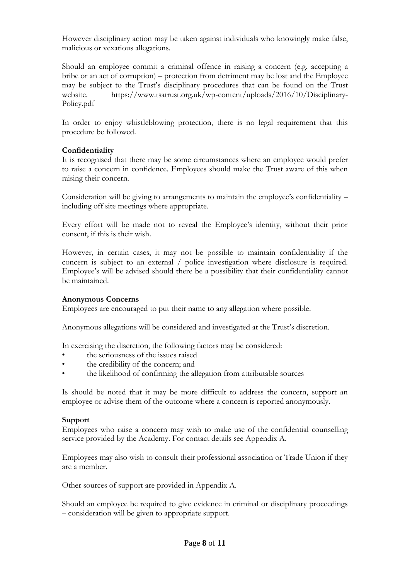However disciplinary action may be taken against individuals who knowingly make false, malicious or vexatious allegations.

Should an employee commit a criminal offence in raising a concern (e.g. accepting a bribe or an act of corruption) – protection from detriment may be lost and the Employee may be subject to the Trust's disciplinary procedures that can be found on the Trust website. https://www.tsatrust.org.uk/wp-content/uploads/2016/10/Disciplinary-Policy.pdf

In order to enjoy whistleblowing protection, there is no legal requirement that this procedure be followed.

#### **Confidentiality**

It is recognised that there may be some circumstances where an employee would prefer to raise a concern in confidence. Employees should make the Trust aware of this when raising their concern.

Consideration will be giving to arrangements to maintain the employee's confidentiality – including off site meetings where appropriate.

Every effort will be made not to reveal the Employee's identity, without their prior consent, if this is their wish.

However, in certain cases, it may not be possible to maintain confidentiality if the concern is subject to an external / police investigation where disclosure is required. Employee's will be advised should there be a possibility that their confidentiality cannot be maintained.

#### **Anonymous Concerns**

Employees are encouraged to put their name to any allegation where possible.

Anonymous allegations will be considered and investigated at the Trust's discretion.

In exercising the discretion, the following factors may be considered:

- the seriousness of the issues raised
- the credibility of the concern; and
- the likelihood of confirming the allegation from attributable sources

Is should be noted that it may be more difficult to address the concern, support an employee or advise them of the outcome where a concern is reported anonymously.

#### **Support**

Employees who raise a concern may wish to make use of the confidential counselling service provided by the Academy. For contact details see Appendix A.

Employees may also wish to consult their professional association or Trade Union if they are a member.

Other sources of support are provided in Appendix A.

Should an employee be required to give evidence in criminal or disciplinary proceedings – consideration will be given to appropriate support.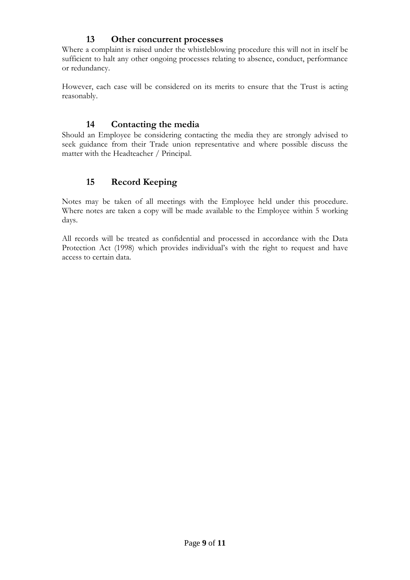#### **13 Other concurrent processes**

<span id="page-8-0"></span>Where a complaint is raised under the whistleblowing procedure this will not in itself be sufficient to halt any other ongoing processes relating to absence, conduct, performance or redundancy.

However, each case will be considered on its merits to ensure that the Trust is acting reasonably.

#### **14 Contacting the media**

<span id="page-8-1"></span>Should an Employee be considering contacting the media they are strongly advised to seek guidance from their Trade union representative and where possible discuss the matter with the Headteacher / Principal.

# **15 Record Keeping**

<span id="page-8-2"></span>Notes may be taken of all meetings with the Employee held under this procedure. Where notes are taken a copy will be made available to the Employee within 5 working days.

All records will be treated as confidential and processed in accordance with the Data Protection Act (1998) which provides individual's with the right to request and have access to certain data.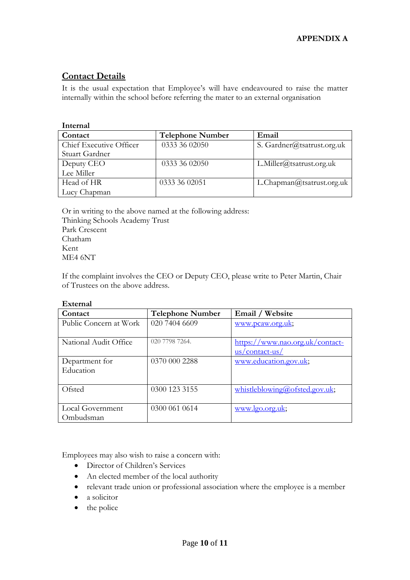# <span id="page-9-0"></span>**Contact Details**

It is the usual expectation that Employee's will have endeavoured to raise the matter internally within the school before referring the mater to an external organisation

| Internal                |                         |                            |  |  |
|-------------------------|-------------------------|----------------------------|--|--|
| Contact                 | <b>Telephone Number</b> | Email                      |  |  |
| Chief Executive Officer | 0333 36 02050           | S. Gardner@tsatrust.org.uk |  |  |
| Stuart Gardner          |                         |                            |  |  |
| Deputy CEO              | 0333 36 02050           | L.Miller@tsatrust.org.uk   |  |  |
| Lee Miller              |                         |                            |  |  |
| Head of HR              | 0333 36 02051           | L.Chapman@tsatrust.org.uk  |  |  |
| Lucy Chapman            |                         |                            |  |  |

Or in writing to the above named at the following address: Thinking Schools Academy Trust Park Crescent Chatham Kent ME4 6NT

If the complaint involves the CEO or Deputy CEO, please write to Peter Martin, Chair of Trustees on the above address.

#### **External**

| Contact                | <b>Telephone Number</b> | Email / Website                 |
|------------------------|-------------------------|---------------------------------|
| Public Concern at Work | 020 7404 6609           | www.pcaw.org.uk;                |
|                        |                         |                                 |
| National Audit Office  | 020 7798 7264.          | https://www.nao.org.uk/contact- |
|                        |                         | $us/contact-us/$                |
| Department for         | 0370 000 2288           | www.education.gov.uk;           |
| Education              |                         |                                 |
|                        |                         |                                 |
| Ofsted                 | 0300 123 3155           | whistleblowing@ofsted.gov.uk;   |
|                        |                         |                                 |
| Local Government       | 0300 061 0614           | www.lgo.org.uk;                 |
| Ombudsman              |                         |                                 |

Employees may also wish to raise a concern with:

- Director of Children's Services
- An elected member of the local authority
- relevant trade union or professional association where the employee is a member
- a solicitor
- the police